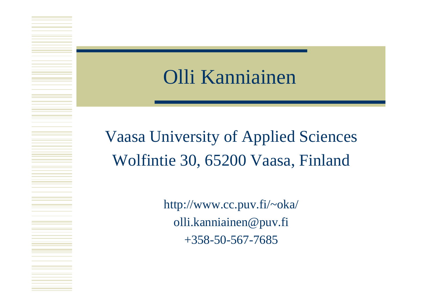#### Olli Kanniainen

Vaasa University of Applied Sciences Wolfintie 30, 65200 Vaasa, Finland

> http://www.cc.puv.fi/~oka/ olli.kanniainen@puv.fi +358-50-567-7685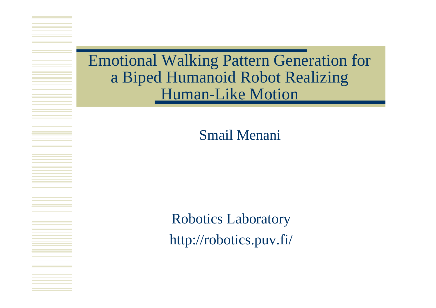Emotional Walking Pattern Generation for a Biped Humanoid Robot Realizing **Human-Like Motion** 

Smail Menani

Robotics Laboratory http://robotics.puv.fi/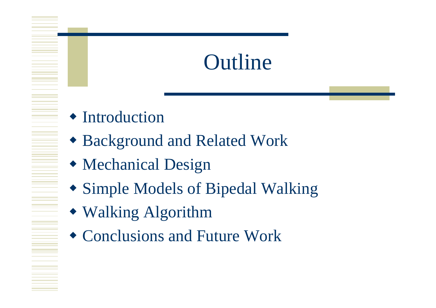## Outline

 $\triangle$  Introduction

- ◆ Background and Related Work
- $\bullet$  Mechanical Design
- Simple Models of Bipedal Walking
- Walking Algorithm
- $\bullet$  Conclusions and Future Work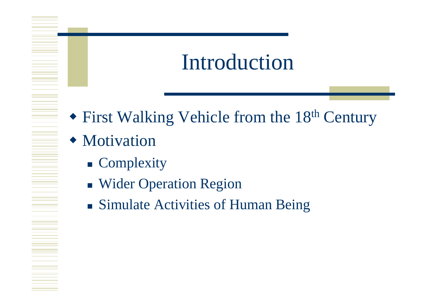## Introduction

 $\bullet$  First Walking Vehicle from the 18<sup>th</sup> Century

#### $\bullet$  Motivation

- **Complexity**
- **Nider Operation Region**
- Simulate Activities of Human Being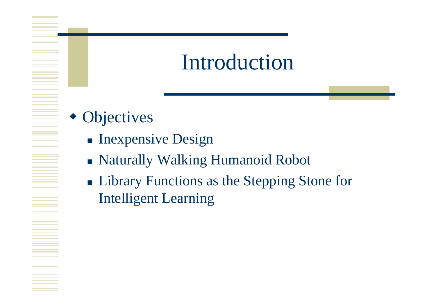#### Introduction

- $\bullet$  Objectives
	- **n** Inexpensive Design
	- Naturally Walking Humanoid Robot
	- Library Functions as the Stepping Stone for Intelligent Learning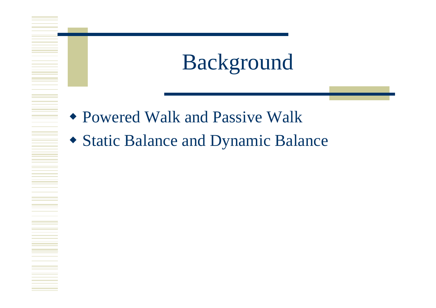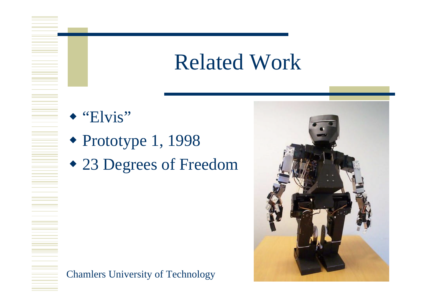#### Related Work

 $\triangle$  "Elvis"

<u>E</u>

- $\bullet$  Prototype 1, 1998
- $\cdot$  23 Degrees of Freedom



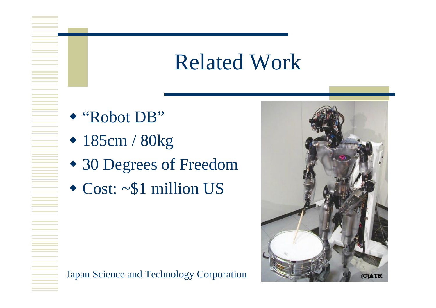### Related Work

◆ "Robot DB"

- $\cdot$  185cm / 80kg
- $\bullet$  30 Degrees of Freedom
- $\triangleleft$  Cost: ~\$1 million US



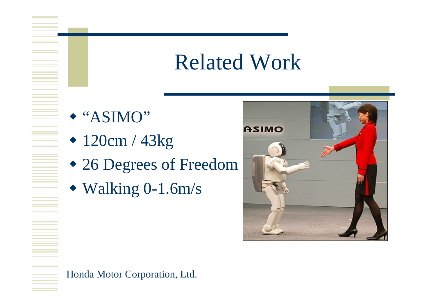#### Related Work

 $\triangle$  "ASIMO"

- $\cdot$  120cm / 43kg
- $\bullet$  26 Degrees of Freedom
- $\blacktriangleright$  Walking 0-1.6m/s



Honda Motor Corporation, Ltd.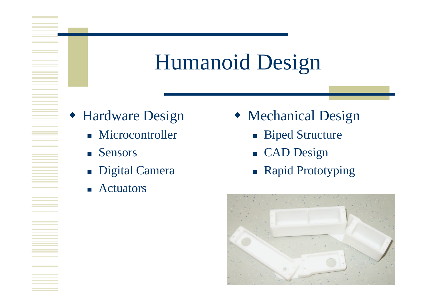# Humanoid Design

- Hardware Design
	- **n** Microcontroller
	- **n** Sensors
	- **n** Digital Camera
	- **n** Actuators
- $\triangleleft$  Mechanical Design
	- **n** Biped Structure
	- **CAD Design**
	- **n** Rapid Prototyping

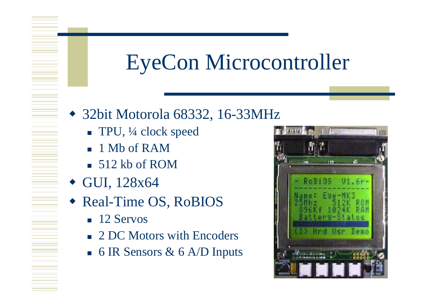## EyeCon Microcontroller

- $\triangleleft$  32bit Motorola 68332, 16-33MHz
	- TPU, ¼ clock speed
	- **n** 1 Mb of RAM
	- $\overline{\phantom{0}}$  512 kb of ROM
- $\bullet$  GUI, 128x64
- ◆ Real-Time OS, RoBIOS
	- $\blacksquare$  12 Servos
	- 2 DC Motors with Encoders
	- 6 IR Sensors  $\&$  6 A/D Inputs

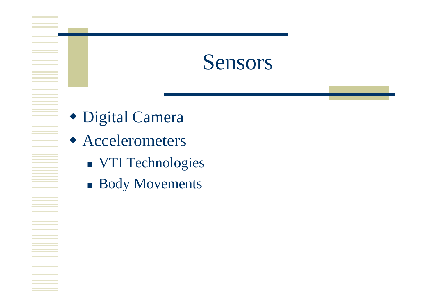#### Sensors

- Digital Camera
- Accelerometers
	- **NOTI Technologies**
	- **Body Movements**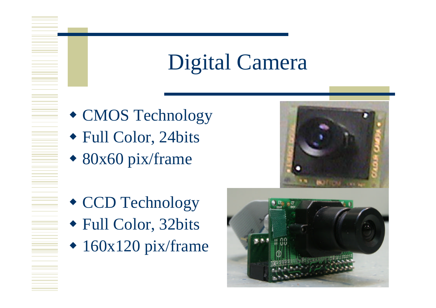## Digital Camera

- CMOS Technology
- ◆ Full Color, 24bits
- $\bullet$  80x60 pix/frame
- $\triangleleft$  CCD Technology w Full Color, 32bits
- $\cdot$  160x120 pix/frame

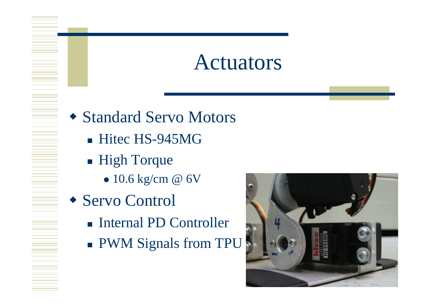#### Actuators

- Standard Servo Motors
	- Hitec HS-945MG
	- High Torque
		- $\bullet$  10.6 kg/cm @ 6V
- Servo Control
	- Internal PD Controller
	- **PWM Signals from TPU**

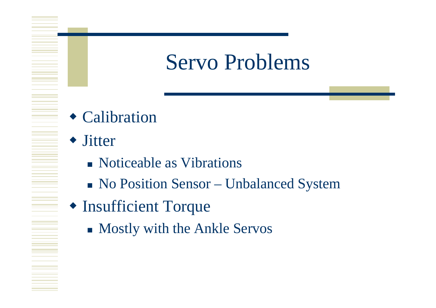#### Servo Problems

- Calibration
- Jitter

- Noticeable as Vibrations
- <sup>n</sup> No Position Sensor Unbalanced System
- Insufficient Torque
	- Mostly with the Ankle Servos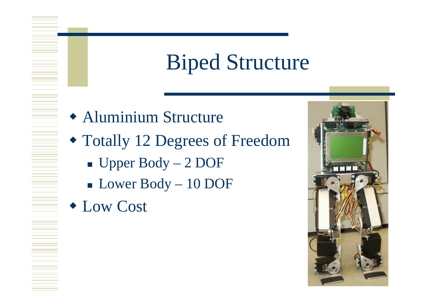## Biped Structure

- **\* Aluminium Structure**
- Totally 12 Degrees of Freedom
	- $\blacksquare$  Upper Body 2 DOF
	- <sup>n</sup> Lower Body 10 DOF
- **Cost**

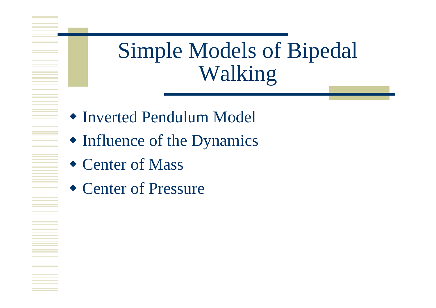## Simple Models of Bipedal Walking

- Inverted Pendulum Model
- $\bullet$  Influence of the Dynamics
- $\triangle$  Center of Mass
- $\triangleleft$  Center of Pressure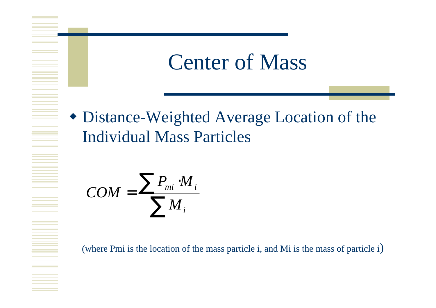

• Distance-Weighted Average Location of the Individual Mass Particles

$$
COM = \frac{\sum P_{mi} \cdot M_i}{\sum M_i}
$$

(where Pmi is the location of the mass particle i, and Mi is the mass of particle i)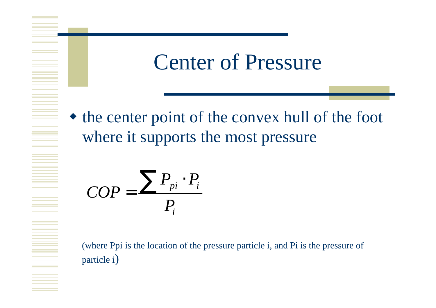#### Center of Pressure

 $\bullet$  the center point of the convex hull of the foot where it supports the most pressure

$$
COP = \frac{\sum P_{pi} \cdot P_i}{P_i}
$$

(where Ppi is the location of the pressure particle i, and Pi is the pressure of particle i)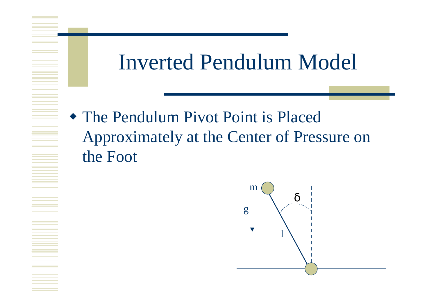#### Inverted Pendulum Model

 $\bullet$  The Pendulum Pivot Point is Placed Approximately at the Center of Pressure on the Foot

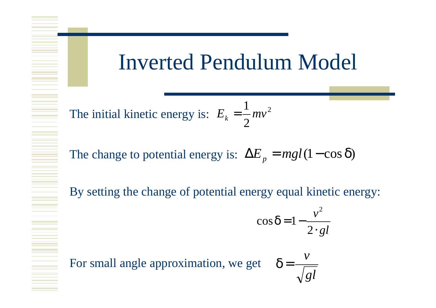#### Inverted Pendulum Model

2 2 1 The initial kinetic energy is:  $E_k = \frac{1}{2}mv$ 

The change to potential energy is:  $\Delta E_p = mgl(1-\cos \theta)$ 

By setting the change of potential energy equal kinetic energy:

$$
\cos \boldsymbol{d} = 1 - \frac{v^2}{2 \cdot gl}
$$

*gl*

*v*

For small angle approximation, we get  $\boldsymbol{d} =$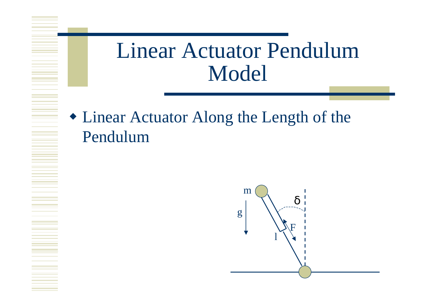## Linear Actuator Pendulum Model

• Linear Actuator Along the Length of the Pendulum

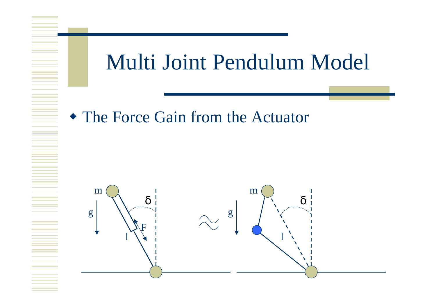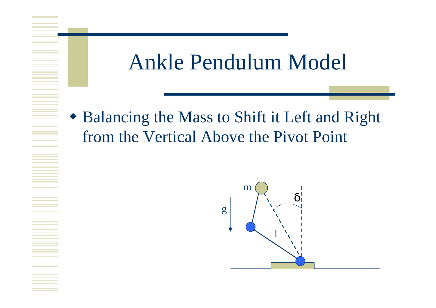#### Ankle Pendulum Model

• Balancing the Mass to Shift it Left and Right from the Vertical Above the Pivot Point

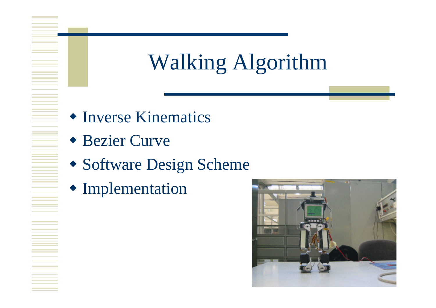# Walking Algorithm

- Inverse Kinematics
- ◆ Bezier Curve

- Software Design Scheme
- $\blacklozenge$  Implementation

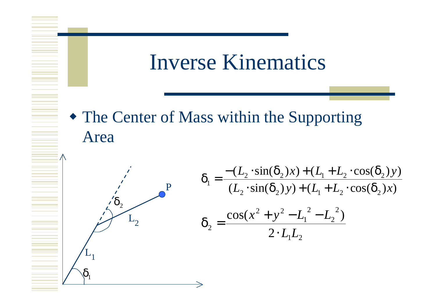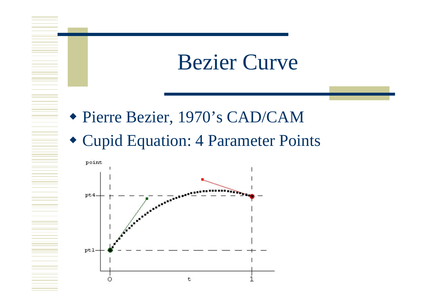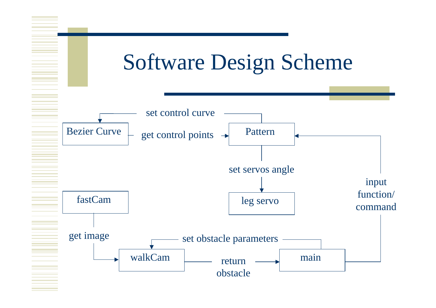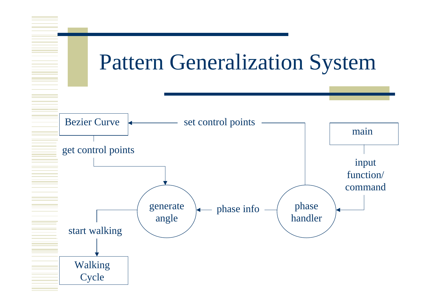## Pattern Generalization System

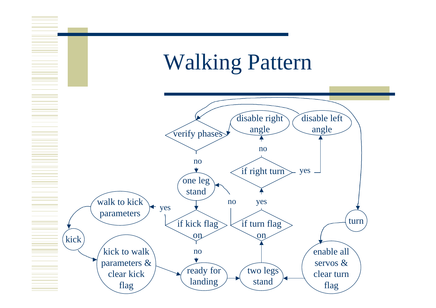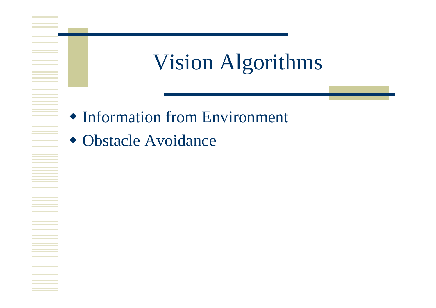# Vision Algorithms

- $\triangle$  Information from Environment
- Obstacle Avoidance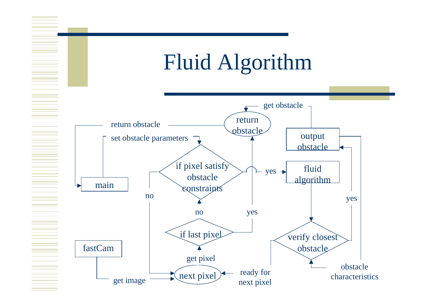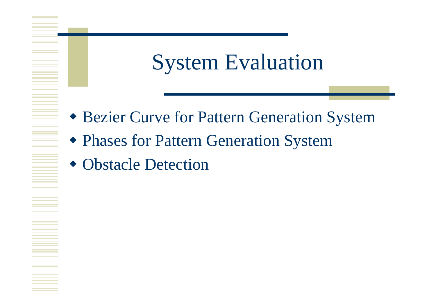### System Evaluation

- **Example 2 Fernifer System System**
- **\* Phases for Pattern Generation System**
- Obstacle Detection